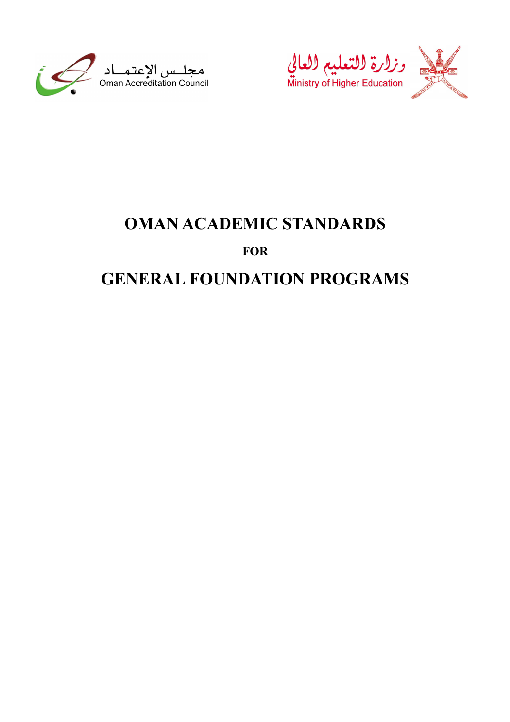





# OMAN ACADEMIC STANDARDS

# FOR

# **GENERAL FOUNDATION PROGRAMS**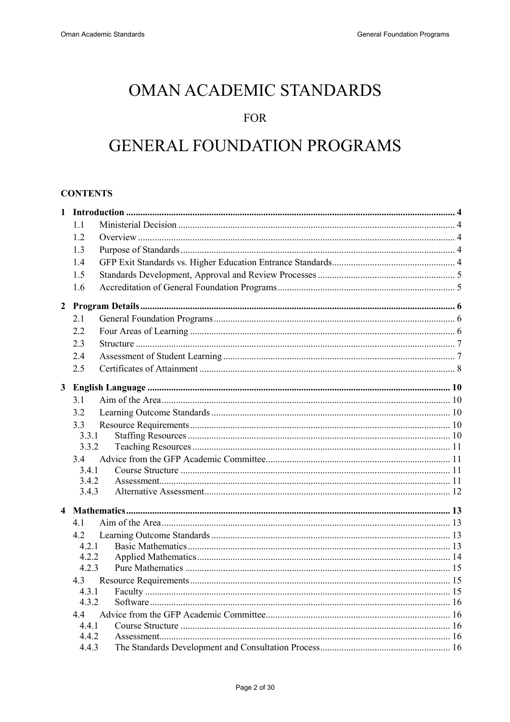# **OMAN ACADEMIC STANDARDS**

# **FOR**

# **GENERAL FOUNDATION PROGRAMS**

# **CONTENTS**

|              | $1\,1$       |  |
|--------------|--------------|--|
|              | 1.2          |  |
|              | 1.3          |  |
|              | 1.4          |  |
|              | 1.5          |  |
|              | 1.6          |  |
|              |              |  |
|              | 2.1          |  |
|              | 2.2          |  |
|              | 2.3          |  |
|              | 2.4          |  |
|              | 2.5          |  |
|              |              |  |
| $\mathbf{3}$ |              |  |
|              | 3.1          |  |
|              | 32           |  |
|              | 3.3<br>3.3.1 |  |
|              | 3.3.2        |  |
|              | 34           |  |
|              | 3.4.1        |  |
|              | 3.4.2        |  |
|              | 3.4.3        |  |
|              |              |  |
|              | 41           |  |
|              | 4.2          |  |
|              | 4.2.1        |  |
|              | 4.2.2        |  |
|              | 4.2.3        |  |
|              | 4.3          |  |
|              | 4.3.1        |  |
|              | 4.3.2        |  |
|              | 44<br>4.4.1  |  |
|              | 4.4.2        |  |
|              | 4.4.3        |  |
|              |              |  |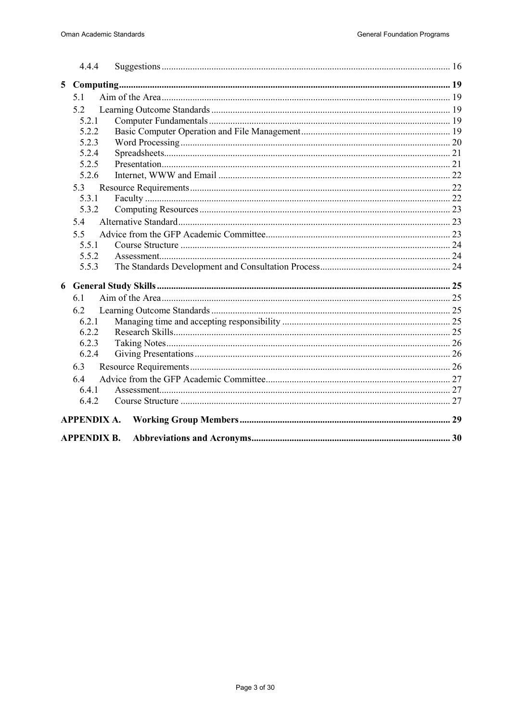|   | 4.4.4              |  |
|---|--------------------|--|
| 5 |                    |  |
|   | 51                 |  |
|   | 5.2                |  |
|   | 5.2.1              |  |
|   | 5.2.2              |  |
|   | 5.2.3              |  |
|   | 5.2.4              |  |
|   | 5.2.5              |  |
|   | 5.2.6              |  |
|   | 5.3                |  |
|   | 5.3.1              |  |
|   | 5.3.2              |  |
|   | 5.4                |  |
|   | 5.5                |  |
|   | 5.5.1              |  |
|   | 5.5.2              |  |
|   | 5.5.3              |  |
| 6 |                    |  |
|   | 61                 |  |
|   | 6.2                |  |
|   | 6.2.1              |  |
|   | 6.2.2              |  |
|   | 6.2.3              |  |
|   | 6.2.4              |  |
|   | 6.3                |  |
|   | 6.4                |  |
|   | 6.4.1              |  |
|   | 6.4.2              |  |
|   |                    |  |
|   | <b>APPENDIX B.</b> |  |
|   |                    |  |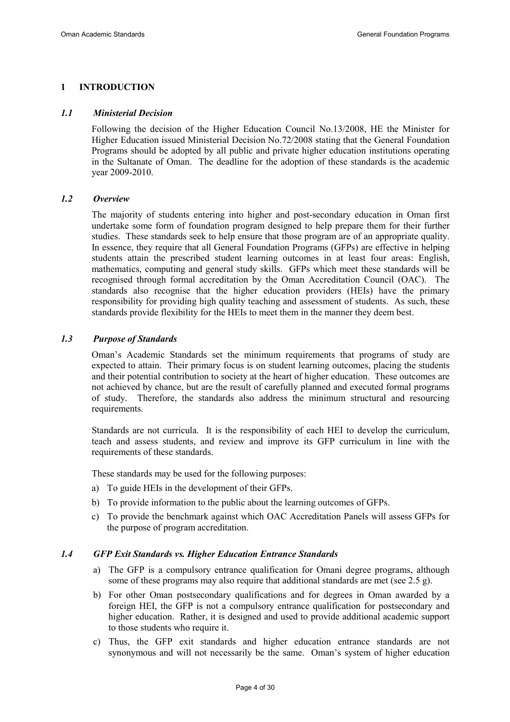## 1 INTRODUCTION

#### 1.1 Ministerial Decision

Following the decision of the Higher Education Council No.13/2008, HE the Minister for Higher Education issued Ministerial Decision No.72/2008 stating that the General Foundation Programs should be adopted by all public and private higher education institutions operating in the Sultanate of Oman. The deadline for the adoption of these standards is the academic year 2009-2010.

#### 1.2 Overview

The majority of students entering into higher and post-secondary education in Oman first undertake some form of foundation program designed to help prepare them for their further studies. These standards seek to help ensure that those program are of an appropriate quality. In essence, they require that all General Foundation Programs (GFPs) are effective in helping students attain the prescribed student learning outcomes in at least four areas: English, mathematics, computing and general study skills. GFPs which meet these standards will be recognised through formal accreditation by the Oman Accreditation Council (OAC). The standards also recognise that the higher education providers (HEIs) have the primary responsibility for providing high quality teaching and assessment of students. As such, these standards provide flexibility for the HEIs to meet them in the manner they deem best.

#### 1.3 Purpose of Standards

Oman's Academic Standards set the minimum requirements that programs of study are expected to attain. Their primary focus is on student learning outcomes, placing the students and their potential contribution to society at the heart of higher education. These outcomes are not achieved by chance, but are the result of carefully planned and executed formal programs of study. Therefore, the standards also address the minimum structural and resourcing requirements.

Standards are not curricula. It is the responsibility of each HEI to develop the curriculum, teach and assess students, and review and improve its GFP curriculum in line with the requirements of these standards.

These standards may be used for the following purposes:

- a) To guide HEIs in the development of their GFPs.
- b) To provide information to the public about the learning outcomes of GFPs.
- c) To provide the benchmark against which OAC Accreditation Panels will assess GFPs for the purpose of program accreditation.

#### 1.4 GFP Exit Standards vs. Higher Education Entrance Standards

- a) The GFP is a compulsory entrance qualification for Omani degree programs, although some of these programs may also require that additional standards are met (see 2.5 g).
- b) For other Oman postsecondary qualifications and for degrees in Oman awarded by a foreign HEI, the GFP is not a compulsory entrance qualification for postsecondary and higher education. Rather, it is designed and used to provide additional academic support to those students who require it.
- c) Thus, the GFP exit standards and higher education entrance standards are not synonymous and will not necessarily be the same. Oman's system of higher education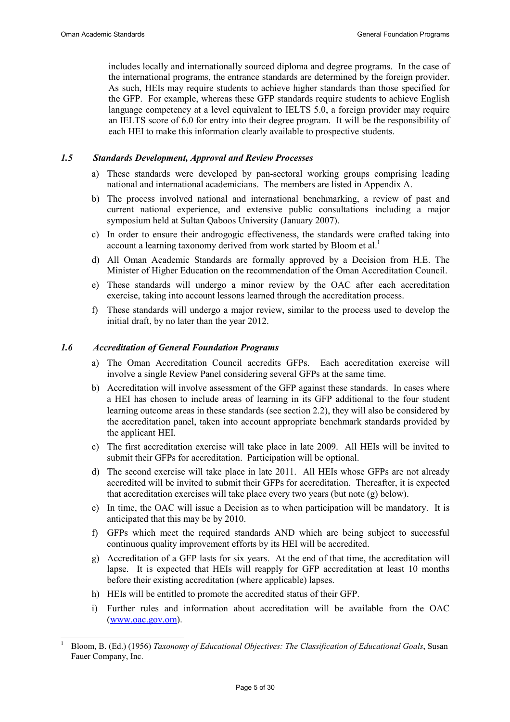$\overline{a}$ 

includes locally and internationally sourced diploma and degree programs. In the case of the international programs, the entrance standards are determined by the foreign provider. As such, HEIs may require students to achieve higher standards than those specified for the GFP. For example, whereas these GFP standards require students to achieve English language competency at a level equivalent to IELTS 5.0, a foreign provider may require an IELTS score of 6.0 for entry into their degree program. It will be the responsibility of each HEI to make this information clearly available to prospective students.

#### 1.5 Standards Development, Approval and Review Processes

- a) These standards were developed by pan-sectoral working groups comprising leading national and international academicians. The members are listed in Appendix A.
- b) The process involved national and international benchmarking, a review of past and current national experience, and extensive public consultations including a major symposium held at Sultan Qaboos University (January 2007).
- c) In order to ensure their androgogic effectiveness, the standards were crafted taking into account a learning taxonomy derived from work started by Bloom et al.<sup>1</sup>
- d) All Oman Academic Standards are formally approved by a Decision from H.E. The Minister of Higher Education on the recommendation of the Oman Accreditation Council.
- e) These standards will undergo a minor review by the OAC after each accreditation exercise, taking into account lessons learned through the accreditation process.
- f) These standards will undergo a major review, similar to the process used to develop the initial draft, by no later than the year 2012.

## 1.6 Accreditation of General Foundation Programs

- a) The Oman Accreditation Council accredits GFPs. Each accreditation exercise will involve a single Review Panel considering several GFPs at the same time.
- b) Accreditation will involve assessment of the GFP against these standards. In cases where a HEI has chosen to include areas of learning in its GFP additional to the four student learning outcome areas in these standards (see section 2.2), they will also be considered by the accreditation panel, taken into account appropriate benchmark standards provided by the applicant HEI.
- c) The first accreditation exercise will take place in late 2009. All HEIs will be invited to submit their GFPs for accreditation. Participation will be optional.
- d) The second exercise will take place in late 2011. All HEIs whose GFPs are not already accredited will be invited to submit their GFPs for accreditation. Thereafter, it is expected that accreditation exercises will take place every two years (but note (g) below).
- e) In time, the OAC will issue a Decision as to when participation will be mandatory. It is anticipated that this may be by 2010.
- f) GFPs which meet the required standards AND which are being subject to successful continuous quality improvement efforts by its HEI will be accredited.
- g) Accreditation of a GFP lasts for six years. At the end of that time, the accreditation will lapse. It is expected that HEIs will reapply for GFP accreditation at least 10 months before their existing accreditation (where applicable) lapses.
- h) HEIs will be entitled to promote the accredited status of their GFP.
- i) Further rules and information about accreditation will be available from the OAC (www.oac.gov.om).

<sup>1</sup> Bloom, B. (Ed.) (1956) Taxonomy of Educational Objectives: The Classification of Educational Goals, Susan Fauer Company, Inc.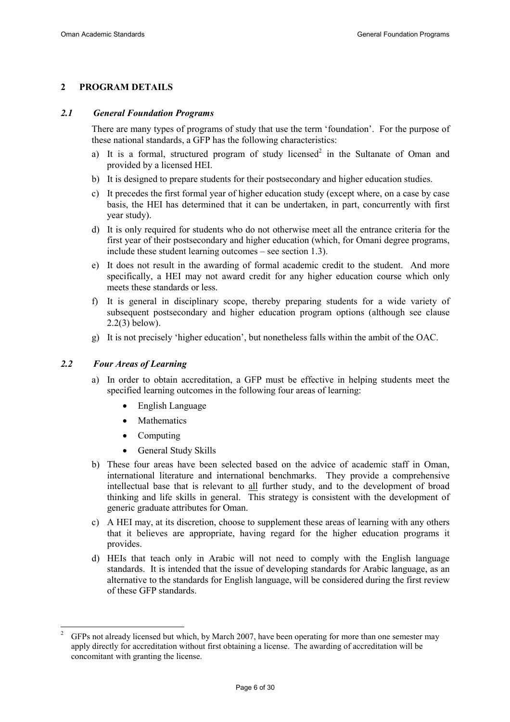## 2 PROGRAM DETAILS

#### 2.1 General Foundation Programs

There are many types of programs of study that use the term 'foundation'. For the purpose of these national standards, a GFP has the following characteristics:

- a) It is a formal, structured program of study licensed<sup>2</sup> in the Sultanate of Oman and provided by a licensed HEI.
- b) It is designed to prepare students for their postsecondary and higher education studies.
- c) It precedes the first formal year of higher education study (except where, on a case by case basis, the HEI has determined that it can be undertaken, in part, concurrently with first year study).
- d) It is only required for students who do not otherwise meet all the entrance criteria for the first year of their postsecondary and higher education (which, for Omani degree programs, include these student learning outcomes – see section 1.3).
- e) It does not result in the awarding of formal academic credit to the student. And more specifically, a HEI may not award credit for any higher education course which only meets these standards or less.
- f) It is general in disciplinary scope, thereby preparing students for a wide variety of subsequent postsecondary and higher education program options (although see clause 2.2(3) below).
- g) It is not precisely 'higher education', but nonetheless falls within the ambit of the OAC.

#### 2.2 Four Areas of Learning

- a) In order to obtain accreditation, a GFP must be effective in helping students meet the specified learning outcomes in the following four areas of learning:
	- English Language
	- Mathematics
	- Computing
	- General Study Skills
- b) These four areas have been selected based on the advice of academic staff in Oman, international literature and international benchmarks. They provide a comprehensive intellectual base that is relevant to all further study, and to the development of broad thinking and life skills in general. This strategy is consistent with the development of generic graduate attributes for Oman.
- c) A HEI may, at its discretion, choose to supplement these areas of learning with any others that it believes are appropriate, having regard for the higher education programs it provides.
- d) HEIs that teach only in Arabic will not need to comply with the English language standards. It is intended that the issue of developing standards for Arabic language, as an alternative to the standards for English language, will be considered during the first review of these GFP standards.

 $\overline{a}$ 2 GFPs not already licensed but which, by March 2007, have been operating for more than one semester may apply directly for accreditation without first obtaining a license. The awarding of accreditation will be concomitant with granting the license.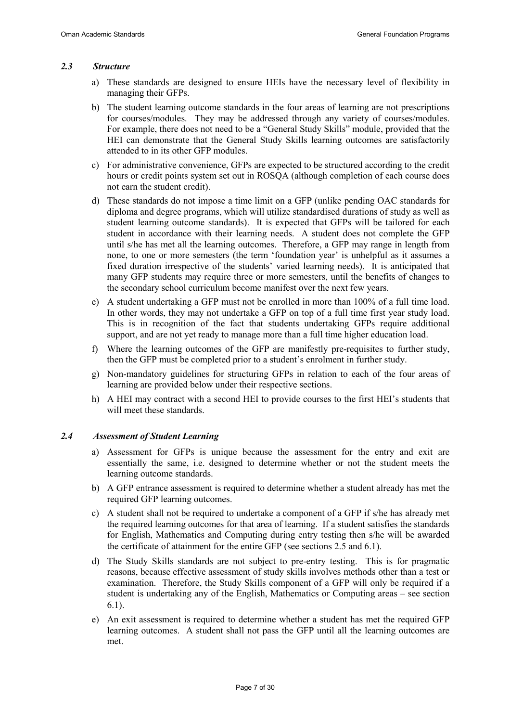#### 2.3 Structure

- a) These standards are designed to ensure HEIs have the necessary level of flexibility in managing their GFPs.
- b) The student learning outcome standards in the four areas of learning are not prescriptions for courses/modules. They may be addressed through any variety of courses/modules. For example, there does not need to be a "General Study Skills" module, provided that the HEI can demonstrate that the General Study Skills learning outcomes are satisfactorily attended to in its other GFP modules.
- c) For administrative convenience, GFPs are expected to be structured according to the credit hours or credit points system set out in ROSQA (although completion of each course does not earn the student credit).
- d) These standards do not impose a time limit on a GFP (unlike pending OAC standards for diploma and degree programs, which will utilize standardised durations of study as well as student learning outcome standards). It is expected that GFPs will be tailored for each student in accordance with their learning needs. A student does not complete the GFP until s/he has met all the learning outcomes. Therefore, a GFP may range in length from none, to one or more semesters (the term 'foundation year' is unhelpful as it assumes a fixed duration irrespective of the students' varied learning needs). It is anticipated that many GFP students may require three or more semesters, until the benefits of changes to the secondary school curriculum become manifest over the next few years.
- e) A student undertaking a GFP must not be enrolled in more than 100% of a full time load. In other words, they may not undertake a GFP on top of a full time first year study load. This is in recognition of the fact that students undertaking GFPs require additional support, and are not yet ready to manage more than a full time higher education load.
- f) Where the learning outcomes of the GFP are manifestly pre-requisites to further study, then the GFP must be completed prior to a student's enrolment in further study.
- g) Non-mandatory guidelines for structuring GFPs in relation to each of the four areas of learning are provided below under their respective sections.
- h) A HEI may contract with a second HEI to provide courses to the first HEI's students that will meet these standards.

#### 2.4 Assessment of Student Learning

- a) Assessment for GFPs is unique because the assessment for the entry and exit are essentially the same, i.e. designed to determine whether or not the student meets the learning outcome standards.
- b) A GFP entrance assessment is required to determine whether a student already has met the required GFP learning outcomes.
- c) A student shall not be required to undertake a component of a GFP if s/he has already met the required learning outcomes for that area of learning. If a student satisfies the standards for English, Mathematics and Computing during entry testing then s/he will be awarded the certificate of attainment for the entire GFP (see sections 2.5 and 6.1).
- d) The Study Skills standards are not subject to pre-entry testing. This is for pragmatic reasons, because effective assessment of study skills involves methods other than a test or examination. Therefore, the Study Skills component of a GFP will only be required if a student is undertaking any of the English, Mathematics or Computing areas – see section 6.1).
- e) An exit assessment is required to determine whether a student has met the required GFP learning outcomes. A student shall not pass the GFP until all the learning outcomes are met.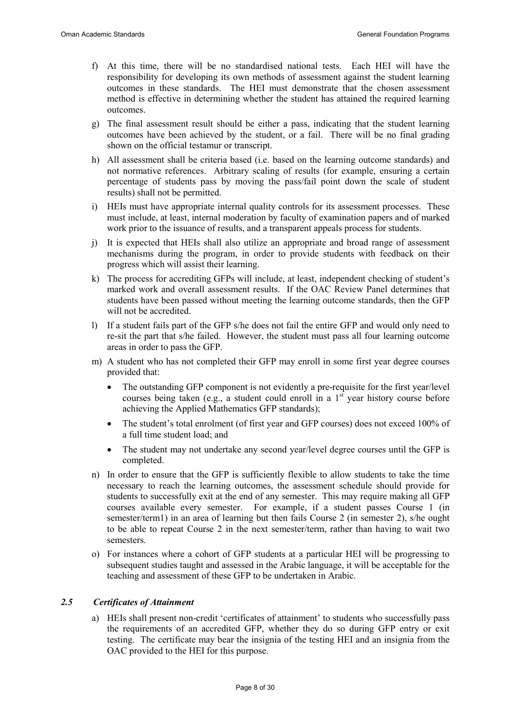- f) At this time, there will be no standardised national tests. Each HEI will have the responsibility for developing its own methods of assessment against the student learning outcomes in these standards. The HEI must demonstrate that the chosen assessment method is effective in determining whether the student has attained the required learning outcomes.
- g) The final assessment result should be either a pass, indicating that the student learning outcomes have been achieved by the student, or a fail. There will be no final grading shown on the official testamur or transcript.
- h) All assessment shall be criteria based (i.e. based on the learning outcome standards) and not normative references. Arbitrary scaling of results (for example, ensuring a certain percentage of students pass by moving the pass/fail point down the scale of student results) shall not be permitted.
- i) HEIs must have appropriate internal quality controls for its assessment processes. These must include, at least, internal moderation by faculty of examination papers and of marked work prior to the issuance of results, and a transparent appeals process for students.
- j) It is expected that HEIs shall also utilize an appropriate and broad range of assessment mechanisms during the program, in order to provide students with feedback on their progress which will assist their learning.
- k) The process for accrediting GFPs will include, at least, independent checking of student's marked work and overall assessment results. If the OAC Review Panel determines that students have been passed without meeting the learning outcome standards, then the GFP will not be accredited.
- l) If a student fails part of the GFP s/he does not fail the entire GFP and would only need to re-sit the part that s/he failed. However, the student must pass all four learning outcome areas in order to pass the GFP.
- m) A student who has not completed their GFP may enroll in some first year degree courses provided that:
	- The outstanding GFP component is not evidently a pre-requisite for the first year/level courses being taken (e.g., a student could enroll in a  $1<sup>st</sup>$  year history course before achieving the Applied Mathematics GFP standards);
	- The student's total enrolment (of first year and GFP courses) does not exceed 100% of a full time student load; and
	- The student may not undertake any second year/level degree courses until the GFP is completed.
- n) In order to ensure that the GFP is sufficiently flexible to allow students to take the time necessary to reach the learning outcomes, the assessment schedule should provide for students to successfully exit at the end of any semester. This may require making all GFP courses available every semester. For example, if a student passes Course 1 (in semester/term1) in an area of learning but then fails Course 2 (in semester 2), s/he ought to be able to repeat Course 2 in the next semester/term, rather than having to wait two semesters.
- o) For instances where a cohort of GFP students at a particular HEI will be progressing to subsequent studies taught and assessed in the Arabic language, it will be acceptable for the teaching and assessment of these GFP to be undertaken in Arabic.

#### 2.5 Certificates of Attainment

a) HEIs shall present non-credit 'certificates of attainment' to students who successfully pass the requirements of an accredited GFP, whether they do so during GFP entry or exit testing. The certificate may bear the insignia of the testing HEI and an insignia from the OAC provided to the HEI for this purpose.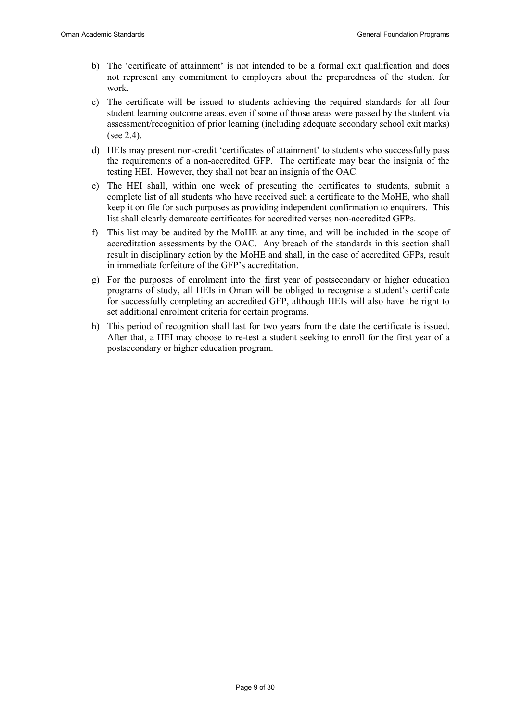- b) The 'certificate of attainment' is not intended to be a formal exit qualification and does not represent any commitment to employers about the preparedness of the student for work.
- c) The certificate will be issued to students achieving the required standards for all four student learning outcome areas, even if some of those areas were passed by the student via assessment/recognition of prior learning (including adequate secondary school exit marks) (see 2.4).
- d) HEIs may present non-credit 'certificates of attainment' to students who successfully pass the requirements of a non-accredited GFP. The certificate may bear the insignia of the testing HEI. However, they shall not bear an insignia of the OAC.
- e) The HEI shall, within one week of presenting the certificates to students, submit a complete list of all students who have received such a certificate to the MoHE, who shall keep it on file for such purposes as providing independent confirmation to enquirers. This list shall clearly demarcate certificates for accredited verses non-accredited GFPs.
- f) This list may be audited by the MoHE at any time, and will be included in the scope of accreditation assessments by the OAC. Any breach of the standards in this section shall result in disciplinary action by the MoHE and shall, in the case of accredited GFPs, result in immediate forfeiture of the GFP's accreditation.
- g) For the purposes of enrolment into the first year of postsecondary or higher education programs of study, all HEIs in Oman will be obliged to recognise a student's certificate for successfully completing an accredited GFP, although HEIs will also have the right to set additional enrolment criteria for certain programs.
- h) This period of recognition shall last for two years from the date the certificate is issued. After that, a HEI may choose to re-test a student seeking to enroll for the first year of a postsecondary or higher education program.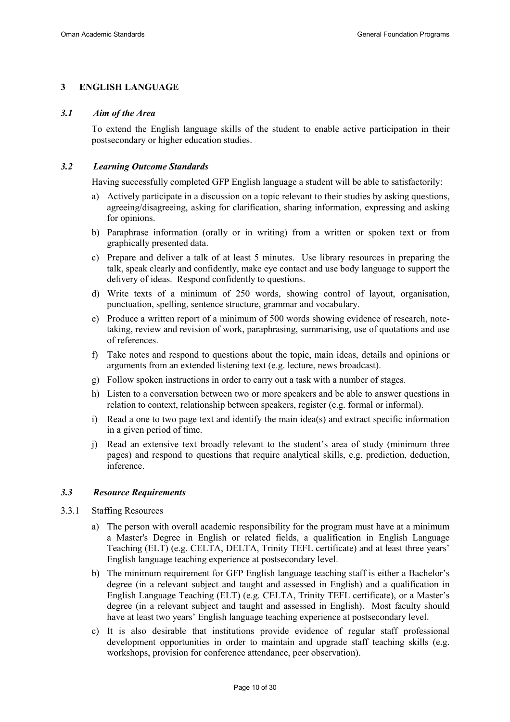# 3 ENGLISH LANGUAGE

#### 3.1 Aim of the Area

To extend the English language skills of the student to enable active participation in their postsecondary or higher education studies.

#### 3.2 Learning Outcome Standards

Having successfully completed GFP English language a student will be able to satisfactorily:

- a) Actively participate in a discussion on a topic relevant to their studies by asking questions, agreeing/disagreeing, asking for clarification, sharing information, expressing and asking for opinions.
- b) Paraphrase information (orally or in writing) from a written or spoken text or from graphically presented data.
- c) Prepare and deliver a talk of at least 5 minutes. Use library resources in preparing the talk, speak clearly and confidently, make eye contact and use body language to support the delivery of ideas. Respond confidently to questions.
- d) Write texts of a minimum of 250 words, showing control of layout, organisation, punctuation, spelling, sentence structure, grammar and vocabulary.
- e) Produce a written report of a minimum of 500 words showing evidence of research, notetaking, review and revision of work, paraphrasing, summarising, use of quotations and use of references.
- f) Take notes and respond to questions about the topic, main ideas, details and opinions or arguments from an extended listening text (e.g. lecture, news broadcast).
- g) Follow spoken instructions in order to carry out a task with a number of stages.
- h) Listen to a conversation between two or more speakers and be able to answer questions in relation to context, relationship between speakers, register (e.g. formal or informal).
- i) Read a one to two page text and identify the main idea(s) and extract specific information in a given period of time.
- j) Read an extensive text broadly relevant to the student's area of study (minimum three pages) and respond to questions that require analytical skills, e.g. prediction, deduction, inference.

#### 3.3 Resource Requirements

- 3.3.1 Staffing Resources
	- a) The person with overall academic responsibility for the program must have at a minimum a Master's Degree in English or related fields, a qualification in English Language Teaching (ELT) (e.g. CELTA, DELTA, Trinity TEFL certificate) and at least three years' English language teaching experience at postsecondary level.
	- b) The minimum requirement for GFP English language teaching staff is either a Bachelor's degree (in a relevant subject and taught and assessed in English) and a qualification in English Language Teaching (ELT) (e.g. CELTA, Trinity TEFL certificate), or a Master's degree (in a relevant subject and taught and assessed in English). Most faculty should have at least two years' English language teaching experience at postsecondary level.
	- c) It is also desirable that institutions provide evidence of regular staff professional development opportunities in order to maintain and upgrade staff teaching skills (e.g. workshops, provision for conference attendance, peer observation).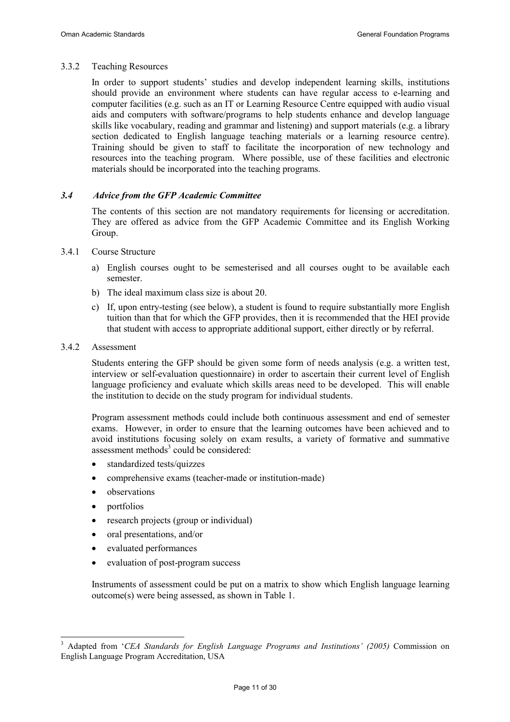#### 3.3.2 Teaching Resources

In order to support students' studies and develop independent learning skills, institutions should provide an environment where students can have regular access to e-learning and computer facilities (e.g. such as an IT or Learning Resource Centre equipped with audio visual aids and computers with software/programs to help students enhance and develop language skills like vocabulary, reading and grammar and listening) and support materials (e.g. a library section dedicated to English language teaching materials or a learning resource centre). Training should be given to staff to facilitate the incorporation of new technology and resources into the teaching program. Where possible, use of these facilities and electronic materials should be incorporated into the teaching programs.

#### 3.4 Advice from the GFP Academic Committee

The contents of this section are not mandatory requirements for licensing or accreditation. They are offered as advice from the GFP Academic Committee and its English Working Group.

- 3.4.1 Course Structure
	- a) English courses ought to be semesterised and all courses ought to be available each semester.
	- b) The ideal maximum class size is about 20.
	- c) If, upon entry-testing (see below), a student is found to require substantially more English tuition than that for which the GFP provides, then it is recommended that the HEI provide that student with access to appropriate additional support, either directly or by referral.

#### 3.4.2 Assessment

Students entering the GFP should be given some form of needs analysis (e.g. a written test, interview or self-evaluation questionnaire) in order to ascertain their current level of English language proficiency and evaluate which skills areas need to be developed. This will enable the institution to decide on the study program for individual students.

Program assessment methods could include both continuous assessment and end of semester exams. However, in order to ensure that the learning outcomes have been achieved and to avoid institutions focusing solely on exam results, a variety of formative and summative assessment methods $3$  could be considered:

- standardized tests/quizzes
- comprehensive exams (teacher-made or institution-made)
- observations
- portfolios

 $\ddot{\phantom{a}}$ 

- research projects (group or individual)
- oral presentations, and/or
- evaluated performances
- evaluation of post-program success

Instruments of assessment could be put on a matrix to show which English language learning outcome(s) were being assessed, as shown in Table 1.

<sup>3</sup> Adapted from 'CEA Standards for English Language Programs and Institutions' (2005) Commission on English Language Program Accreditation, USA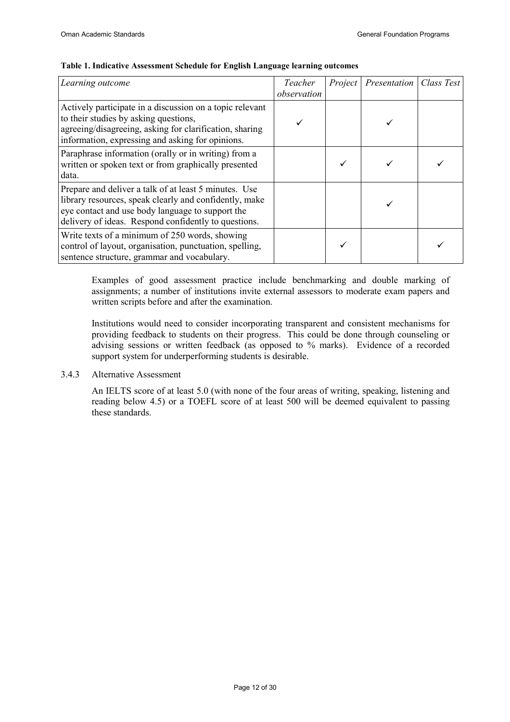| Learning outcome                                                                                                                                                                                                            | Teacher<br>observation | Project Presentation | Class Test |
|-----------------------------------------------------------------------------------------------------------------------------------------------------------------------------------------------------------------------------|------------------------|----------------------|------------|
| Actively participate in a discussion on a topic relevant<br>to their studies by asking questions,<br>agreeing/disagreeing, asking for clarification, sharing<br>information, expressing and asking for opinions.            |                        |                      |            |
| Paraphrase information (orally or in writing) from a<br>written or spoken text or from graphically presented<br>data.                                                                                                       |                        |                      |            |
| Prepare and deliver a talk of at least 5 minutes. Use<br>library resources, speak clearly and confidently, make<br>eye contact and use body language to support the<br>delivery of ideas. Respond confidently to questions. |                        |                      |            |
| Write texts of a minimum of 250 words, showing<br>control of layout, organisation, punctuation, spelling,<br>sentence structure, grammar and vocabulary.                                                                    |                        |                      |            |

#### Table 1. Indicative Assessment Schedule for English Language learning outcomes

Examples of good assessment practice include benchmarking and double marking of assignments; a number of institutions invite external assessors to moderate exam papers and written scripts before and after the examination.

Institutions would need to consider incorporating transparent and consistent mechanisms for providing feedback to students on their progress. This could be done through counseling or advising sessions or written feedback (as opposed to % marks). Evidence of a recorded support system for underperforming students is desirable.

#### 3.4.3 Alternative Assessment

An IELTS score of at least 5.0 (with none of the four areas of writing, speaking, listening and reading below 4.5) or a TOEFL score of at least 500 will be deemed equivalent to passing these standards.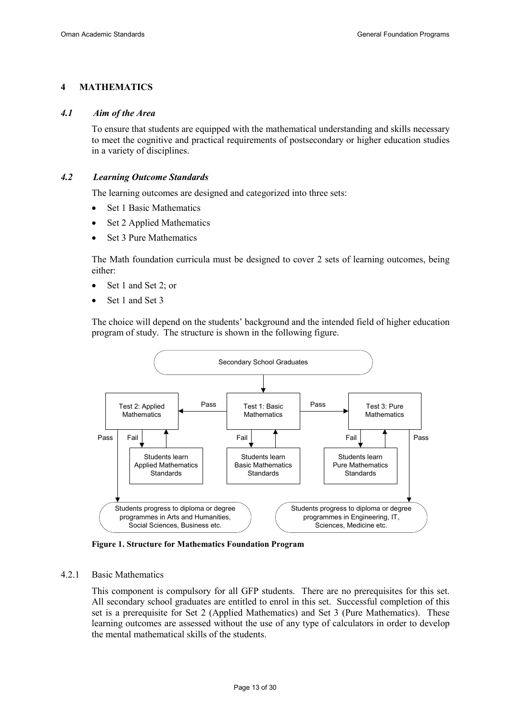# 4 MATHEMATICS

#### 4.1 Aim of the Area

To ensure that students are equipped with the mathematical understanding and skills necessary to meet the cognitive and practical requirements of postsecondary or higher education studies in a variety of disciplines.

#### 4.2 Learning Outcome Standards

The learning outcomes are designed and categorized into three sets:

- Set 1 Basic Mathematics
- Set 2 Applied Mathematics
- Set 3 Pure Mathematics

The Math foundation curricula must be designed to cover 2 sets of learning outcomes, being either:

- Set 1 and Set 2; or
- Set 1 and Set 3

The choice will depend on the students' background and the intended field of higher education program of study. The structure is shown in the following figure.



Figure 1. Structure for Mathematics Foundation Program

#### 4.2.1 Basic Mathematics

This component is compulsory for all GFP students. There are no prerequisites for this set. All secondary school graduates are entitled to enrol in this set. Successful completion of this set is a prerequisite for Set 2 (Applied Mathematics) and Set 3 (Pure Mathematics). These learning outcomes are assessed without the use of any type of calculators in order to develop the mental mathematical skills of the students.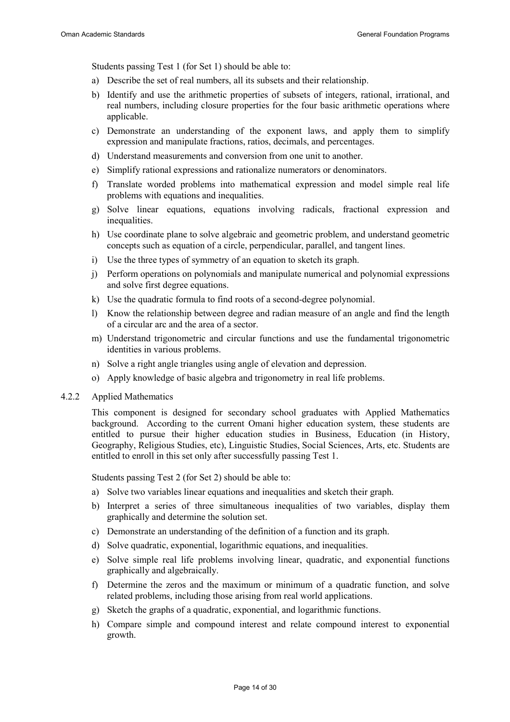Students passing Test 1 (for Set 1) should be able to:

- a) Describe the set of real numbers, all its subsets and their relationship.
- b) Identify and use the arithmetic properties of subsets of integers, rational, irrational, and real numbers, including closure properties for the four basic arithmetic operations where applicable.
- c) Demonstrate an understanding of the exponent laws, and apply them to simplify expression and manipulate fractions, ratios, decimals, and percentages.
- d) Understand measurements and conversion from one unit to another.
- e) Simplify rational expressions and rationalize numerators or denominators.
- f) Translate worded problems into mathematical expression and model simple real life problems with equations and inequalities.
- g) Solve linear equations, equations involving radicals, fractional expression and inequalities.
- h) Use coordinate plane to solve algebraic and geometric problem, and understand geometric concepts such as equation of a circle, perpendicular, parallel, and tangent lines.
- i) Use the three types of symmetry of an equation to sketch its graph.
- j) Perform operations on polynomials and manipulate numerical and polynomial expressions and solve first degree equations.
- k) Use the quadratic formula to find roots of a second-degree polynomial.
- l) Know the relationship between degree and radian measure of an angle and find the length of a circular arc and the area of a sector.
- m) Understand trigonometric and circular functions and use the fundamental trigonometric identities in various problems.
- n) Solve a right angle triangles using angle of elevation and depression.
- o) Apply knowledge of basic algebra and trigonometry in real life problems.
- 4.2.2 Applied Mathematics

This component is designed for secondary school graduates with Applied Mathematics background. According to the current Omani higher education system, these students are entitled to pursue their higher education studies in Business, Education (in History, Geography, Religious Studies, etc), Linguistic Studies, Social Sciences, Arts, etc. Students are entitled to enroll in this set only after successfully passing Test 1.

Students passing Test 2 (for Set 2) should be able to:

- a) Solve two variables linear equations and inequalities and sketch their graph.
- b) Interpret a series of three simultaneous inequalities of two variables, display them graphically and determine the solution set.
- c) Demonstrate an understanding of the definition of a function and its graph.
- d) Solve quadratic, exponential, logarithmic equations, and inequalities.
- e) Solve simple real life problems involving linear, quadratic, and exponential functions graphically and algebraically.
- f) Determine the zeros and the maximum or minimum of a quadratic function, and solve related problems, including those arising from real world applications.
- g) Sketch the graphs of a quadratic, exponential, and logarithmic functions.
- h) Compare simple and compound interest and relate compound interest to exponential growth.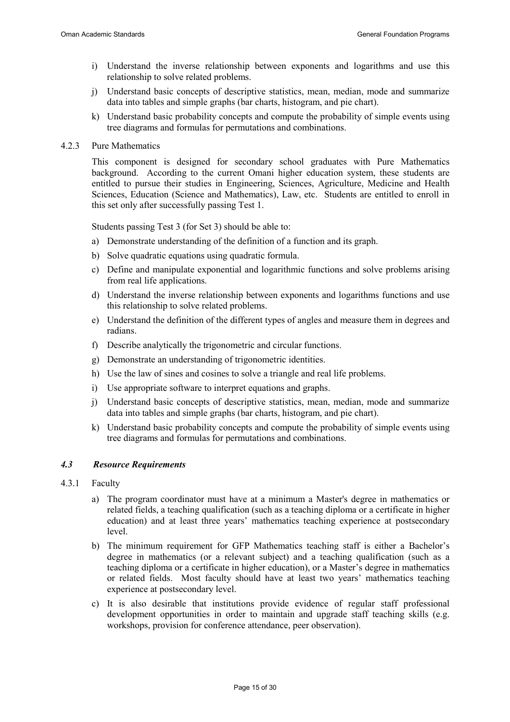- i) Understand the inverse relationship between exponents and logarithms and use this relationship to solve related problems.
- j) Understand basic concepts of descriptive statistics, mean, median, mode and summarize data into tables and simple graphs (bar charts, histogram, and pie chart).
- k) Understand basic probability concepts and compute the probability of simple events using tree diagrams and formulas for permutations and combinations.
- 4.2.3 Pure Mathematics

This component is designed for secondary school graduates with Pure Mathematics background. According to the current Omani higher education system, these students are entitled to pursue their studies in Engineering, Sciences, Agriculture, Medicine and Health Sciences, Education (Science and Mathematics), Law, etc. Students are entitled to enroll in this set only after successfully passing Test 1.

Students passing Test 3 (for Set 3) should be able to:

- a) Demonstrate understanding of the definition of a function and its graph.
- b) Solve quadratic equations using quadratic formula.
- c) Define and manipulate exponential and logarithmic functions and solve problems arising from real life applications.
- d) Understand the inverse relationship between exponents and logarithms functions and use this relationship to solve related problems.
- e) Understand the definition of the different types of angles and measure them in degrees and radians.
- f) Describe analytically the trigonometric and circular functions.
- g) Demonstrate an understanding of trigonometric identities.
- h) Use the law of sines and cosines to solve a triangle and real life problems.
- i) Use appropriate software to interpret equations and graphs.
- j) Understand basic concepts of descriptive statistics, mean, median, mode and summarize data into tables and simple graphs (bar charts, histogram, and pie chart).
- k) Understand basic probability concepts and compute the probability of simple events using tree diagrams and formulas for permutations and combinations.

#### 4.3 Resource Requirements

- 4.3.1 Faculty
	- a) The program coordinator must have at a minimum a Master's degree in mathematics or related fields, a teaching qualification (such as a teaching diploma or a certificate in higher education) and at least three years' mathematics teaching experience at postsecondary level.
	- b) The minimum requirement for GFP Mathematics teaching staff is either a Bachelor's degree in mathematics (or a relevant subject) and a teaching qualification (such as a teaching diploma or a certificate in higher education), or a Master's degree in mathematics or related fields. Most faculty should have at least two years' mathematics teaching experience at postsecondary level.
	- c) It is also desirable that institutions provide evidence of regular staff professional development opportunities in order to maintain and upgrade staff teaching skills (e.g. workshops, provision for conference attendance, peer observation).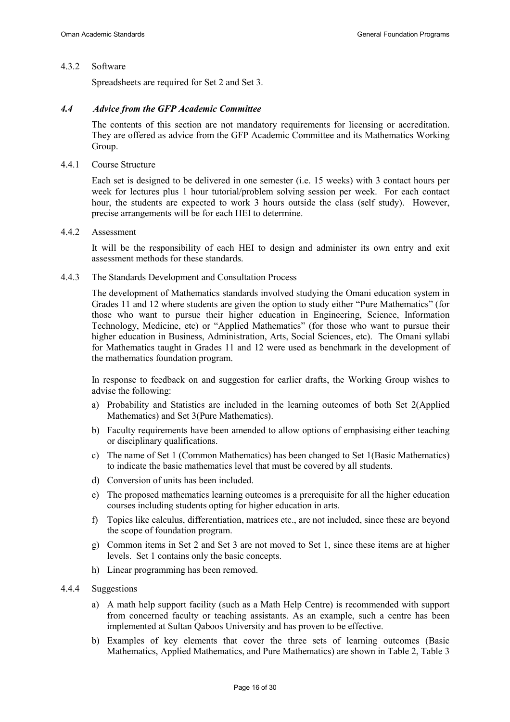#### 4.3.2 Software

Spreadsheets are required for Set 2 and Set 3.

#### 4.4 Advice from the GFP Academic Committee

The contents of this section are not mandatory requirements for licensing or accreditation. They are offered as advice from the GFP Academic Committee and its Mathematics Working Group.

#### 4.4.1 Course Structure

Each set is designed to be delivered in one semester (i.e. 15 weeks) with 3 contact hours per week for lectures plus 1 hour tutorial/problem solving session per week. For each contact hour, the students are expected to work 3 hours outside the class (self study). However, precise arrangements will be for each HEI to determine.

#### 4.4.2 Assessment

It will be the responsibility of each HEI to design and administer its own entry and exit assessment methods for these standards.

#### 4.4.3 The Standards Development and Consultation Process

The development of Mathematics standards involved studying the Omani education system in Grades 11 and 12 where students are given the option to study either "Pure Mathematics" (for those who want to pursue their higher education in Engineering, Science, Information Technology, Medicine, etc) or "Applied Mathematics" (for those who want to pursue their higher education in Business, Administration, Arts, Social Sciences, etc). The Omani syllabi for Mathematics taught in Grades 11 and 12 were used as benchmark in the development of the mathematics foundation program.

In response to feedback on and suggestion for earlier drafts, the Working Group wishes to advise the following:

- a) Probability and Statistics are included in the learning outcomes of both Set 2(Applied Mathematics) and Set 3(Pure Mathematics).
- b) Faculty requirements have been amended to allow options of emphasising either teaching or disciplinary qualifications.
- c) The name of Set 1 (Common Mathematics) has been changed to Set 1(Basic Mathematics) to indicate the basic mathematics level that must be covered by all students.
- d) Conversion of units has been included.
- e) The proposed mathematics learning outcomes is a prerequisite for all the higher education courses including students opting for higher education in arts.
- f) Topics like calculus, differentiation, matrices etc., are not included, since these are beyond the scope of foundation program.
- g) Common items in Set 2 and Set 3 are not moved to Set 1, since these items are at higher levels. Set 1 contains only the basic concepts.
- h) Linear programming has been removed.

### 4.4.4 Suggestions

- a) A math help support facility (such as a Math Help Centre) is recommended with support from concerned faculty or teaching assistants. As an example, such a centre has been implemented at Sultan Qaboos University and has proven to be effective.
- b) Examples of key elements that cover the three sets of learning outcomes (Basic Mathematics, Applied Mathematics, and Pure Mathematics) are shown in Table 2, Table 3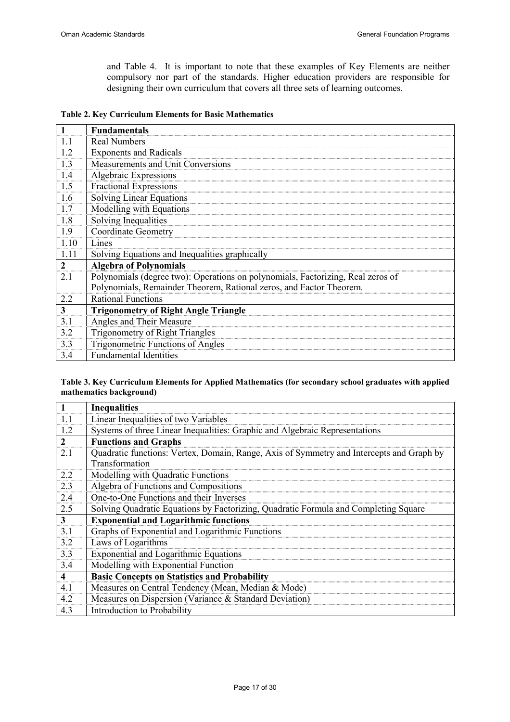and Table 4. It is important to note that these examples of Key Elements are neither compulsory nor part of the standards. Higher education providers are responsible for designing their own curriculum that covers all three sets of learning outcomes.

|  |  | <b>Table 2. Key Curriculum Elements for Basic Mathematics</b> |  |
|--|--|---------------------------------------------------------------|--|
|  |  |                                                               |  |

|              | <b>Fundamentals</b>                                                             |
|--------------|---------------------------------------------------------------------------------|
| 1.1          | <b>Real Numbers</b>                                                             |
| 1.2          | <b>Exponents and Radicals</b>                                                   |
| 1.3          | Measurements and Unit Conversions                                               |
| 1.4          | Algebraic Expressions                                                           |
| 1.5          | Fractional Expressions                                                          |
| 1.6          | <b>Solving Linear Equations</b>                                                 |
| 1.7          | Modelling with Equations                                                        |
| 1.8          | Solving Inequalities                                                            |
| 1.9          | <b>Coordinate Geometry</b>                                                      |
| 1.10         | Lines                                                                           |
| 1.11         | Solving Equations and Inequalities graphically                                  |
| $\mathbf{2}$ | <b>Algebra of Polynomials</b>                                                   |
| 2.1          | Polynomials (degree two): Operations on polynomials, Factorizing, Real zeros of |
|              | Polynomials, Remainder Theorem, Rational zeros, and Factor Theorem.             |
| 2.2          | <b>Rational Functions</b>                                                       |
| 3            | <b>Trigonometry of Right Angle Triangle</b>                                     |
| 3.1          | Angles and Their Measure                                                        |
| 3.2          | Trigonometry of Right Triangles                                                 |
| 3.3          | <b>Trigonometric Functions of Angles</b>                                        |
| 3.4          | <b>Fundamental Identities</b>                                                   |

#### Table 3. Key Curriculum Elements for Applied Mathematics (for secondary school graduates with applied mathematics background)

|                         | <b>Inequalities</b>                                                                                        |
|-------------------------|------------------------------------------------------------------------------------------------------------|
| 1.1                     | Linear Inequalities of two Variables                                                                       |
| 1.2                     | Systems of three Linear Inequalities: Graphic and Algebraic Representations                                |
| $\overline{2}$          | <b>Functions and Graphs</b>                                                                                |
| 2.1                     | Quadratic functions: Vertex, Domain, Range, Axis of Symmetry and Intercepts and Graph by<br>Transformation |
| 2.2                     | Modelling with Quadratic Functions                                                                         |
| 2.3                     | Algebra of Functions and Compositions                                                                      |
| 2.4                     | One-to-One Functions and their Inverses                                                                    |
| 2.5                     | Solving Quadratic Equations by Factorizing, Quadratic Formula and Completing Square                        |
| 3                       | <b>Exponential and Logarithmic functions</b>                                                               |
| 3.1                     | Graphs of Exponential and Logarithmic Functions                                                            |
| 3.2                     | Laws of Logarithms                                                                                         |
| 3.3                     | Exponential and Logarithmic Equations                                                                      |
| 3.4                     | Modelling with Exponential Function                                                                        |
| $\overline{\mathbf{4}}$ | <b>Basic Concepts on Statistics and Probability</b>                                                        |
| 4.1                     | Measures on Central Tendency (Mean, Median & Mode)                                                         |
| 4.2                     | Measures on Dispersion (Variance & Standard Deviation)                                                     |
| 4.3                     | Introduction to Probability                                                                                |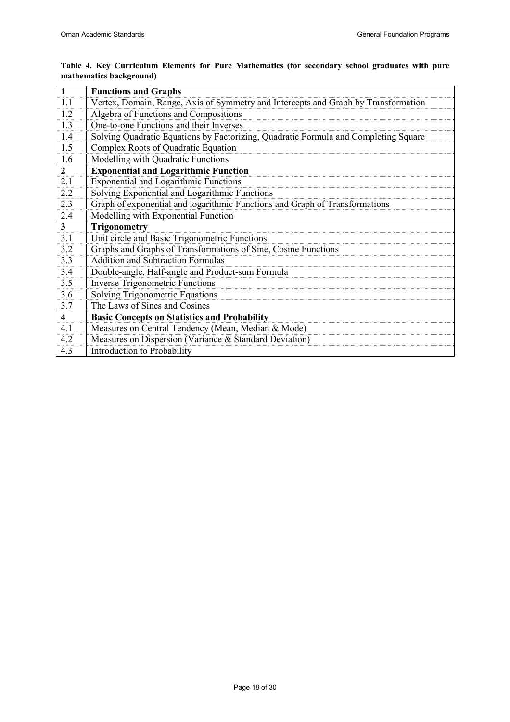| 1                       | <b>Functions and Graphs</b>                                                         |
|-------------------------|-------------------------------------------------------------------------------------|
| 1.1                     | Vertex, Domain, Range, Axis of Symmetry and Intercepts and Graph by Transformation  |
| 1.2                     | Algebra of Functions and Compositions                                               |
| 1.3                     | One-to-one Functions and their Inverses                                             |
| 1.4                     | Solving Quadratic Equations by Factorizing, Quadratic Formula and Completing Square |
| 1.5                     | Complex Roots of Quadratic Equation                                                 |
| 1.6                     | Modelling with Quadratic Functions                                                  |
| $\overline{2}$          | <b>Exponential and Logarithmic Function</b>                                         |
| 2.1                     | <b>Exponential and Logarithmic Functions</b>                                        |
| 2.2                     | Solving Exponential and Logarithmic Functions                                       |
| 2.3                     | Graph of exponential and logarithmic Functions and Graph of Transformations         |
| 2.4                     | Modelling with Exponential Function                                                 |
|                         |                                                                                     |
| 3 <sup>1</sup>          | Trigonometry                                                                        |
| 3.1                     | Unit circle and Basic Trigonometric Functions                                       |
| 3.2                     | Graphs and Graphs of Transformations of Sine, Cosine Functions                      |
| 3.3                     | <b>Addition and Subtraction Formulas</b>                                            |
| 3.4                     | Double-angle, Half-angle and Product-sum Formula                                    |
| 3.5                     | <b>Inverse Trigonometric Functions</b>                                              |
| 3.6                     | Solving Trigonometric Equations                                                     |
| 3.7                     | The Laws of Sines and Cosines                                                       |
| $\overline{\mathbf{4}}$ | <b>Basic Concepts on Statistics and Probability</b>                                 |
| 4.1                     | Measures on Central Tendency (Mean, Median & Mode)                                  |
| 4.2                     | Measures on Dispersion (Variance & Standard Deviation)                              |

#### Table 4. Key Curriculum Elements for Pure Mathematics (for secondary school graduates with pure mathematics background)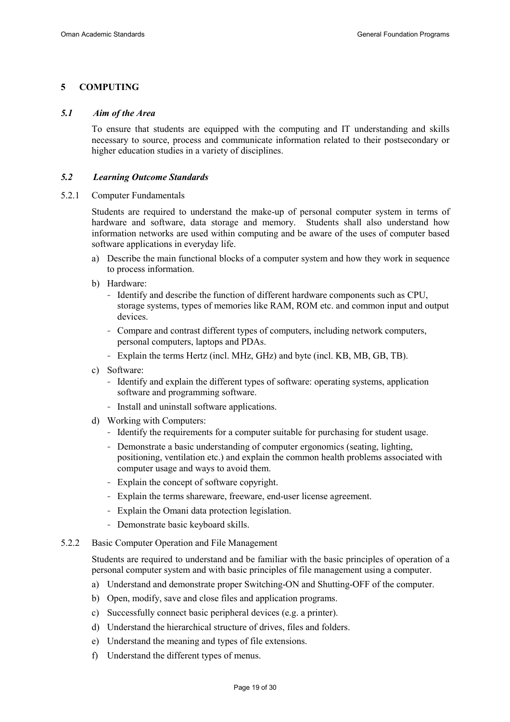# 5 COMPUTING

#### 5.1 Aim of the Area

To ensure that students are equipped with the computing and IT understanding and skills necessary to source, process and communicate information related to their postsecondary or higher education studies in a variety of disciplines.

#### 5.2 Learning Outcome Standards

5.2.1 Computer Fundamentals

Students are required to understand the make-up of personal computer system in terms of hardware and software, data storage and memory. Students shall also understand how information networks are used within computing and be aware of the uses of computer based software applications in everyday life.

- a) Describe the main functional blocks of a computer system and how they work in sequence to process information.
- b) Hardware:
	- Identify and describe the function of different hardware components such as CPU, storage systems, types of memories like RAM, ROM etc. and common input and output devices.
	- Compare and contrast different types of computers, including network computers, personal computers, laptops and PDAs.
	- Explain the terms Hertz (incl. MHz, GHz) and byte (incl. KB, MB, GB, TB).
- c) Software:
	- Identify and explain the different types of software: operating systems, application software and programming software.
	- Install and uninstall software applications.
- d) Working with Computers:
	- Identify the requirements for a computer suitable for purchasing for student usage.
	- Demonstrate a basic understanding of computer ergonomics (seating, lighting, positioning, ventilation etc.) and explain the common health problems associated with computer usage and ways to avoid them.
	- Explain the concept of software copyright.
	- Explain the terms shareware, freeware, end-user license agreement.
	- Explain the Omani data protection legislation.
	- Demonstrate basic keyboard skills.
- 5.2.2 Basic Computer Operation and File Management

Students are required to understand and be familiar with the basic principles of operation of a personal computer system and with basic principles of file management using a computer.

- a) Understand and demonstrate proper Switching-ON and Shutting-OFF of the computer.
- b) Open, modify, save and close files and application programs.
- c) Successfully connect basic peripheral devices (e.g. a printer).
- d) Understand the hierarchical structure of drives, files and folders.
- e) Understand the meaning and types of file extensions.
- f) Understand the different types of menus.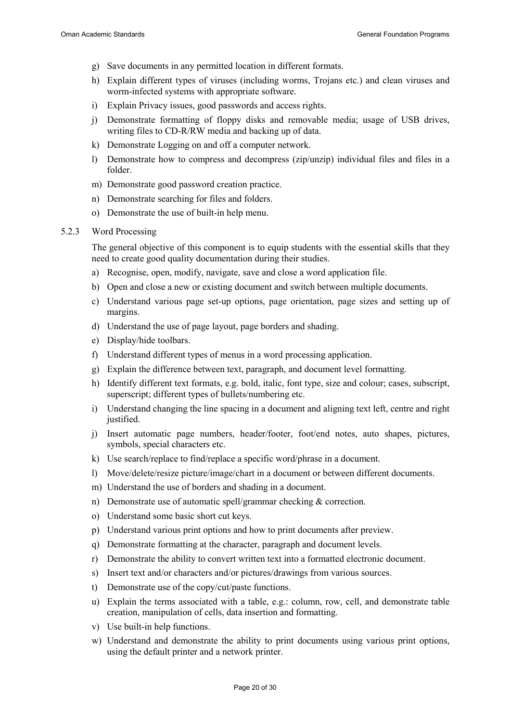- g) Save documents in any permitted location in different formats.
- h) Explain different types of viruses (including worms, Trojans etc.) and clean viruses and worm-infected systems with appropriate software.
- i) Explain Privacy issues, good passwords and access rights.
- j) Demonstrate formatting of floppy disks and removable media; usage of USB drives, writing files to CD-R/RW media and backing up of data.
- k) Demonstrate Logging on and off a computer network.
- l) Demonstrate how to compress and decompress (zip/unzip) individual files and files in a folder.
- m) Demonstrate good password creation practice.
- n) Demonstrate searching for files and folders.
- o) Demonstrate the use of built-in help menu.

#### 5.2.3 Word Processing

The general objective of this component is to equip students with the essential skills that they need to create good quality documentation during their studies.

- a) Recognise, open, modify, navigate, save and close a word application file.
- b) Open and close a new or existing document and switch between multiple documents.
- c) Understand various page set-up options, page orientation, page sizes and setting up of margins.
- d) Understand the use of page layout, page borders and shading.
- e) Display/hide toolbars.
- f) Understand different types of menus in a word processing application.
- g) Explain the difference between text, paragraph, and document level formatting.
- h) Identify different text formats, e.g. bold, italic, font type, size and colour; cases, subscript, superscript; different types of bullets/numbering etc.
- i) Understand changing the line spacing in a document and aligning text left, centre and right justified.
- j) Insert automatic page numbers, header/footer, foot/end notes, auto shapes, pictures, symbols, special characters etc.
- k) Use search/replace to find/replace a specific word/phrase in a document.
- l) Move/delete/resize picture/image/chart in a document or between different documents.
- m) Understand the use of borders and shading in a document.
- n) Demonstrate use of automatic spell/grammar checking & correction.
- o) Understand some basic short cut keys.
- p) Understand various print options and how to print documents after preview.
- q) Demonstrate formatting at the character, paragraph and document levels.
- r) Demonstrate the ability to convert written text into a formatted electronic document.
- s) Insert text and/or characters and/or pictures/drawings from various sources.
- t) Demonstrate use of the copy/cut/paste functions.
- u) Explain the terms associated with a table, e.g.: column, row, cell, and demonstrate table creation, manipulation of cells, data insertion and formatting.
- v) Use built-in help functions.
- w) Understand and demonstrate the ability to print documents using various print options, using the default printer and a network printer.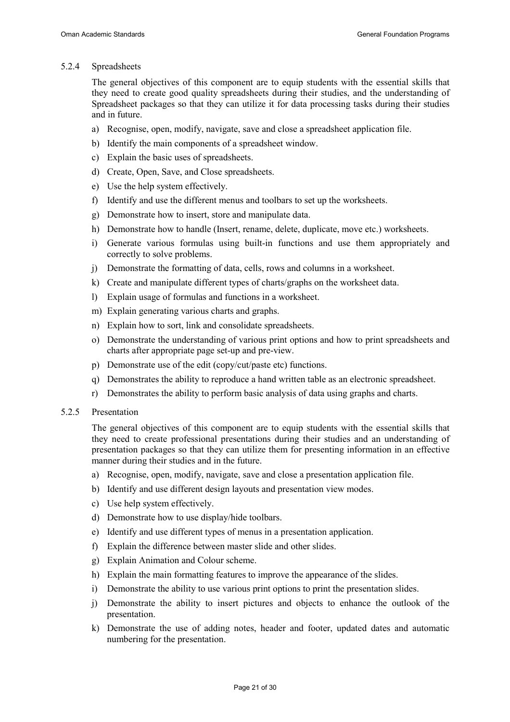#### 5.2.4 Spreadsheets

The general objectives of this component are to equip students with the essential skills that they need to create good quality spreadsheets during their studies, and the understanding of Spreadsheet packages so that they can utilize it for data processing tasks during their studies and in future.

- a) Recognise, open, modify, navigate, save and close a spreadsheet application file.
- b) Identify the main components of a spreadsheet window.
- c) Explain the basic uses of spreadsheets.
- d) Create, Open, Save, and Close spreadsheets.
- e) Use the help system effectively.
- f) Identify and use the different menus and toolbars to set up the worksheets.
- g) Demonstrate how to insert, store and manipulate data.
- h) Demonstrate how to handle (Insert, rename, delete, duplicate, move etc.) worksheets.
- i) Generate various formulas using built-in functions and use them appropriately and correctly to solve problems.
- j) Demonstrate the formatting of data, cells, rows and columns in a worksheet.
- k) Create and manipulate different types of charts/graphs on the worksheet data.
- l) Explain usage of formulas and functions in a worksheet.
- m) Explain generating various charts and graphs.
- n) Explain how to sort, link and consolidate spreadsheets.
- o) Demonstrate the understanding of various print options and how to print spreadsheets and charts after appropriate page set-up and pre-view.
- p) Demonstrate use of the edit (copy/cut/paste etc) functions.
- q) Demonstrates the ability to reproduce a hand written table as an electronic spreadsheet.
- r) Demonstrates the ability to perform basic analysis of data using graphs and charts.

#### 5.2.5 Presentation

The general objectives of this component are to equip students with the essential skills that they need to create professional presentations during their studies and an understanding of presentation packages so that they can utilize them for presenting information in an effective manner during their studies and in the future.

- a) Recognise, open, modify, navigate, save and close a presentation application file.
- b) Identify and use different design layouts and presentation view modes.
- c) Use help system effectively.
- d) Demonstrate how to use display/hide toolbars.
- e) Identify and use different types of menus in a presentation application.
- f) Explain the difference between master slide and other slides.
- g) Explain Animation and Colour scheme.
- h) Explain the main formatting features to improve the appearance of the slides.
- i) Demonstrate the ability to use various print options to print the presentation slides.
- j) Demonstrate the ability to insert pictures and objects to enhance the outlook of the presentation.
- k) Demonstrate the use of adding notes, header and footer, updated dates and automatic numbering for the presentation.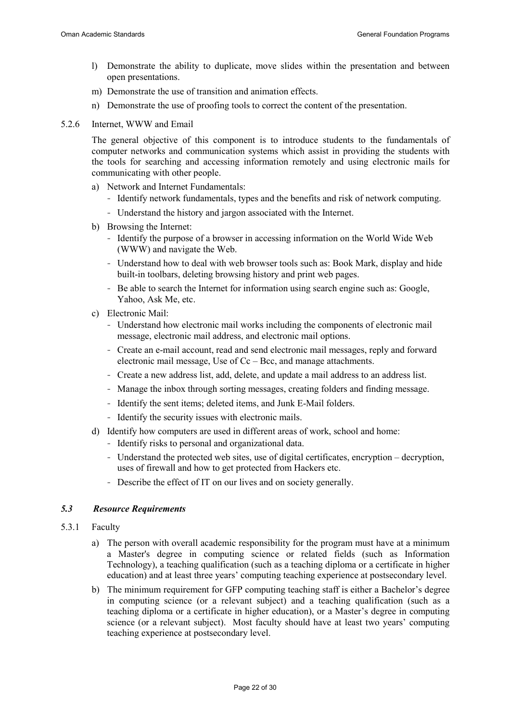- l) Demonstrate the ability to duplicate, move slides within the presentation and between open presentations.
- m) Demonstrate the use of transition and animation effects.
- n) Demonstrate the use of proofing tools to correct the content of the presentation.
- 5.2.6 Internet, WWW and Email

The general objective of this component is to introduce students to the fundamentals of computer networks and communication systems which assist in providing the students with the tools for searching and accessing information remotely and using electronic mails for communicating with other people.

- a) Network and Internet Fundamentals:
	- Identify network fundamentals, types and the benefits and risk of network computing.
	- Understand the history and jargon associated with the Internet.
- b) Browsing the Internet:
	- Identify the purpose of a browser in accessing information on the World Wide Web (WWW) and navigate the Web.
	- Understand how to deal with web browser tools such as: Book Mark, display and hide built-in toolbars, deleting browsing history and print web pages.
	- Be able to search the Internet for information using search engine such as: Google, Yahoo, Ask Me, etc.
- c) Electronic Mail:
	- Understand how electronic mail works including the components of electronic mail message, electronic mail address, and electronic mail options.
	- Create an e-mail account, read and send electronic mail messages, reply and forward electronic mail message, Use of Cc – Bcc, and manage attachments.
	- Create a new address list, add, delete, and update a mail address to an address list.
	- Manage the inbox through sorting messages, creating folders and finding message.
	- Identify the sent items; deleted items, and Junk E-Mail folders.
	- Identify the security issues with electronic mails.
- d) Identify how computers are used in different areas of work, school and home:
	- Identify risks to personal and organizational data.
	- Understand the protected web sites, use of digital certificates, encryption decryption, uses of firewall and how to get protected from Hackers etc.
	- Describe the effect of IT on our lives and on society generally.

# 5.3 Resource Requirements

- 5.3.1 Faculty
	- a) The person with overall academic responsibility for the program must have at a minimum a Master's degree in computing science or related fields (such as Information Technology), a teaching qualification (such as a teaching diploma or a certificate in higher education) and at least three years' computing teaching experience at postsecondary level.
	- b) The minimum requirement for GFP computing teaching staff is either a Bachelor's degree in computing science (or a relevant subject) and a teaching qualification (such as a teaching diploma or a certificate in higher education), or a Master's degree in computing science (or a relevant subject). Most faculty should have at least two years' computing teaching experience at postsecondary level.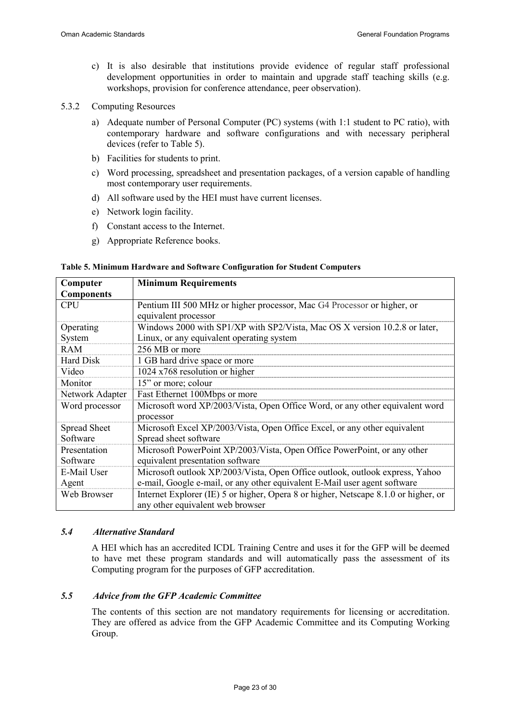- c) It is also desirable that institutions provide evidence of regular staff professional development opportunities in order to maintain and upgrade staff teaching skills (e.g. workshops, provision for conference attendance, peer observation).
- 5.3.2 Computing Resources
	- a) Adequate number of Personal Computer (PC) systems (with 1:1 student to PC ratio), with contemporary hardware and software configurations and with necessary peripheral devices (refer to Table 5).
	- b) Facilities for students to print.
	- c) Word processing, spreadsheet and presentation packages, of a version capable of handling most contemporary user requirements.
	- d) All software used by the HEI must have current licenses.
	- e) Network login facility.
	- f) Constant access to the Internet.
	- g) Appropriate Reference books.

#### Table 5. Minimum Hardware and Software Configuration for Student Computers

| Computer          | <b>Minimum Requirements</b>                                                         |  |  |  |
|-------------------|-------------------------------------------------------------------------------------|--|--|--|
| <b>Components</b> |                                                                                     |  |  |  |
| <b>CPU</b>        | Pentium III 500 MHz or higher processor, Mac G4 Processor or higher, or             |  |  |  |
|                   | equivalent processor                                                                |  |  |  |
| Operating         | Windows 2000 with SP1/XP with SP2/Vista, Mac OS X version 10.2.8 or later,          |  |  |  |
| System            | Linux, or any equivalent operating system                                           |  |  |  |
| <b>RAM</b>        | 256 MB or more                                                                      |  |  |  |
| Hard Disk         | 1 GB hard drive space or more                                                       |  |  |  |
| Video             | $1024 \times 768$ resolution or higher                                              |  |  |  |
| Monitor           | 15" or more; colour                                                                 |  |  |  |
| Network Adapter   | Fast Ethernet 100Mbps or more                                                       |  |  |  |
| Word processor    | Microsoft word XP/2003/Vista, Open Office Word, or any other equivalent word        |  |  |  |
|                   | processor                                                                           |  |  |  |
| Spread Sheet      | Microsoft Excel XP/2003/Vista, Open Office Excel, or any other equivalent           |  |  |  |
| Software          | Spread sheet software                                                               |  |  |  |
| Presentation      | Microsoft PowerPoint XP/2003/Vista, Open Office PowerPoint, or any other            |  |  |  |
| Software          | equivalent presentation software                                                    |  |  |  |
| E-Mail User       | Microsoft outlook XP/2003/Vista, Open Office outlook, outlook express, Yahoo        |  |  |  |
| Agent             | e-mail, Google e-mail, or any other equivalent E-Mail user agent software           |  |  |  |
| Web Browser       | Internet Explorer (IE) 5 or higher, Opera 8 or higher, Netscape 8.1.0 or higher, or |  |  |  |
|                   | any other equivalent web browser                                                    |  |  |  |

#### 5.4 Alternative Standard

A HEI which has an accredited ICDL Training Centre and uses it for the GFP will be deemed to have met these program standards and will automatically pass the assessment of its Computing program for the purposes of GFP accreditation.

# 5.5 Advice from the GFP Academic Committee

The contents of this section are not mandatory requirements for licensing or accreditation. They are offered as advice from the GFP Academic Committee and its Computing Working Group.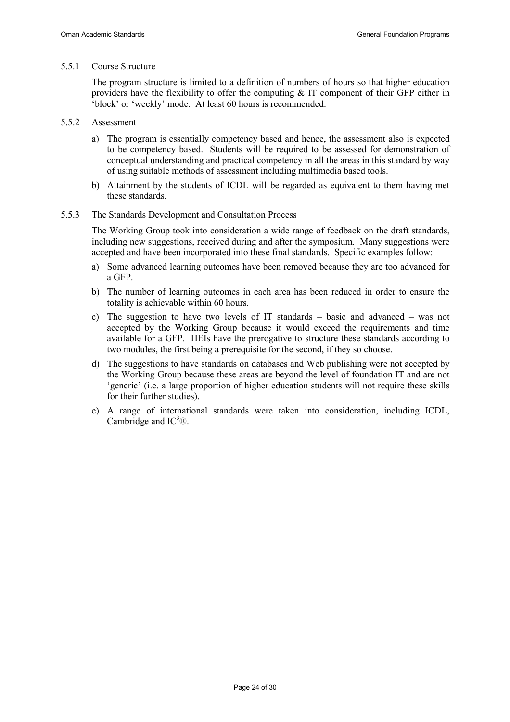#### 5.5.1 Course Structure

The program structure is limited to a definition of numbers of hours so that higher education providers have the flexibility to offer the computing  $\&$  IT component of their GFP either in 'block' or 'weekly' mode. At least 60 hours is recommended.

- 5.5.2 Assessment
	- a) The program is essentially competency based and hence, the assessment also is expected to be competency based. Students will be required to be assessed for demonstration of conceptual understanding and practical competency in all the areas in this standard by way of using suitable methods of assessment including multimedia based tools.
	- b) Attainment by the students of ICDL will be regarded as equivalent to them having met these standards.
- 5.5.3 The Standards Development and Consultation Process

The Working Group took into consideration a wide range of feedback on the draft standards, including new suggestions, received during and after the symposium. Many suggestions were accepted and have been incorporated into these final standards. Specific examples follow:

- a) Some advanced learning outcomes have been removed because they are too advanced for a GFP.
- b) The number of learning outcomes in each area has been reduced in order to ensure the totality is achievable within 60 hours.
- c) The suggestion to have two levels of IT standards basic and advanced was not accepted by the Working Group because it would exceed the requirements and time available for a GFP. HEIs have the prerogative to structure these standards according to two modules, the first being a prerequisite for the second, if they so choose.
- d) The suggestions to have standards on databases and Web publishing were not accepted by the Working Group because these areas are beyond the level of foundation IT and are not 'generic' (i.e. a large proportion of higher education students will not require these skills for their further studies).
- e) A range of international standards were taken into consideration, including ICDL, Cambridge and  $IC^3\mathcal{R}$ .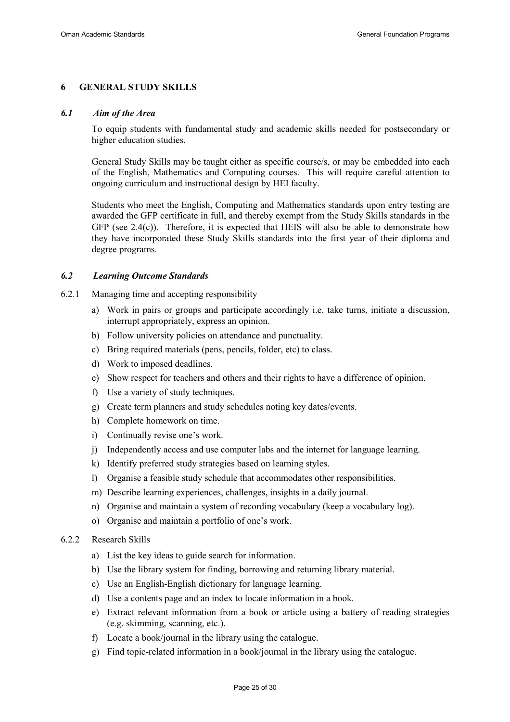#### 6 GENERAL STUDY SKILLS

#### 6.1 Aim of the Area

To equip students with fundamental study and academic skills needed for postsecondary or higher education studies.

General Study Skills may be taught either as specific course/s, or may be embedded into each of the English, Mathematics and Computing courses. This will require careful attention to ongoing curriculum and instructional design by HEI faculty.

Students who meet the English, Computing and Mathematics standards upon entry testing are awarded the GFP certificate in full, and thereby exempt from the Study Skills standards in the GFP (see 2.4(c)). Therefore, it is expected that HEIS will also be able to demonstrate how they have incorporated these Study Skills standards into the first year of their diploma and degree programs.

#### 6.2 Learning Outcome Standards

- 6.2.1 Managing time and accepting responsibility
	- a) Work in pairs or groups and participate accordingly i.e. take turns, initiate a discussion, interrupt appropriately, express an opinion.
	- b) Follow university policies on attendance and punctuality.
	- c) Bring required materials (pens, pencils, folder, etc) to class.
	- d) Work to imposed deadlines.
	- e) Show respect for teachers and others and their rights to have a difference of opinion.
	- f) Use a variety of study techniques.
	- g) Create term planners and study schedules noting key dates/events.
	- h) Complete homework on time.
	- i) Continually revise one's work.
	- j) Independently access and use computer labs and the internet for language learning.
	- k) Identify preferred study strategies based on learning styles.
	- l) Organise a feasible study schedule that accommodates other responsibilities.
	- m) Describe learning experiences, challenges, insights in a daily journal.
	- n) Organise and maintain a system of recording vocabulary (keep a vocabulary log).
	- o) Organise and maintain a portfolio of one's work.

#### 6.2.2 Research Skills

- a) List the key ideas to guide search for information.
- b) Use the library system for finding, borrowing and returning library material.
- c) Use an English-English dictionary for language learning.
- d) Use a contents page and an index to locate information in a book.
- e) Extract relevant information from a book or article using a battery of reading strategies (e.g. skimming, scanning, etc.).
- f) Locate a book/journal in the library using the catalogue.
- g) Find topic-related information in a book/journal in the library using the catalogue.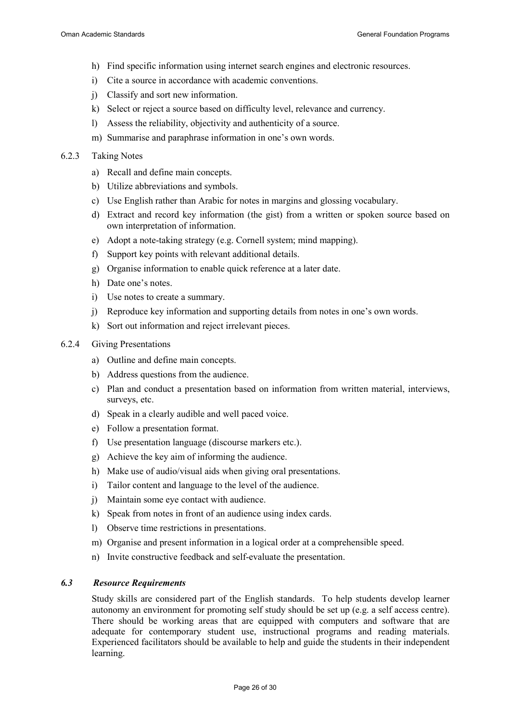- h) Find specific information using internet search engines and electronic resources.
- i) Cite a source in accordance with academic conventions.
- j) Classify and sort new information.
- k) Select or reject a source based on difficulty level, relevance and currency.
- l) Assess the reliability, objectivity and authenticity of a source.
- m) Summarise and paraphrase information in one's own words.
- 6.2.3 Taking Notes
	- a) Recall and define main concepts.
	- b) Utilize abbreviations and symbols.
	- c) Use English rather than Arabic for notes in margins and glossing vocabulary.
	- d) Extract and record key information (the gist) from a written or spoken source based on own interpretation of information.
	- e) Adopt a note-taking strategy (e.g. Cornell system; mind mapping).
	- f) Support key points with relevant additional details.
	- g) Organise information to enable quick reference at a later date.
	- h) Date one's notes.
	- i) Use notes to create a summary.
	- j) Reproduce key information and supporting details from notes in one's own words.
	- k) Sort out information and reject irrelevant pieces.
- 6.2.4 Giving Presentations
	- a) Outline and define main concepts.
	- b) Address questions from the audience.
	- c) Plan and conduct a presentation based on information from written material, interviews, surveys, etc.
	- d) Speak in a clearly audible and well paced voice.
	- e) Follow a presentation format.
	- f) Use presentation language (discourse markers etc.).
	- g) Achieve the key aim of informing the audience.
	- h) Make use of audio/visual aids when giving oral presentations.
	- i) Tailor content and language to the level of the audience.
	- j) Maintain some eye contact with audience.
	- k) Speak from notes in front of an audience using index cards.
	- l) Observe time restrictions in presentations.
	- m) Organise and present information in a logical order at a comprehensible speed.
	- n) Invite constructive feedback and self-evaluate the presentation.

# 6.3 Resource Requirements

Study skills are considered part of the English standards. To help students develop learner autonomy an environment for promoting self study should be set up (e.g. a self access centre). There should be working areas that are equipped with computers and software that are adequate for contemporary student use, instructional programs and reading materials. Experienced facilitators should be available to help and guide the students in their independent learning.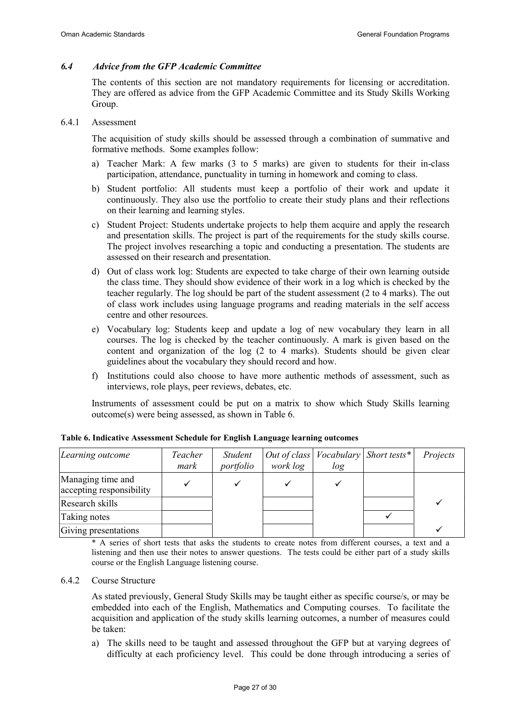#### 6.4 Advice from the GFP Academic Committee

The contents of this section are not mandatory requirements for licensing or accreditation. They are offered as advice from the GFP Academic Committee and its Study Skills Working Group.

#### 6.4.1 Assessment

The acquisition of study skills should be assessed through a combination of summative and formative methods. Some examples follow:

- a) Teacher Mark: A few marks (3 to 5 marks) are given to students for their in-class participation, attendance, punctuality in turning in homework and coming to class.
- b) Student portfolio: All students must keep a portfolio of their work and update it continuously. They also use the portfolio to create their study plans and their reflections on their learning and learning styles.
- c) Student Project: Students undertake projects to help them acquire and apply the research and presentation skills. The project is part of the requirements for the study skills course. The project involves researching a topic and conducting a presentation. The students are assessed on their research and presentation.
- d) Out of class work log: Students are expected to take charge of their own learning outside the class time. They should show evidence of their work in a log which is checked by the teacher regularly. The log should be part of the student assessment (2 to 4 marks). The out of class work includes using language programs and reading materials in the self access centre and other resources.
- e) Vocabulary log: Students keep and update a log of new vocabulary they learn in all courses. The log is checked by the teacher continuously. A mark is given based on the content and organization of the log (2 to 4 marks). Students should be given clear guidelines about the vocabulary they should record and how.
- f) Institutions could also choose to have more authentic methods of assessment, such as interviews, role plays, peer reviews, debates, etc.

Instruments of assessment could be put on a matrix to show which Study Skills learning outcome(s) were being assessed, as shown in Table 6.

| Learning outcome                              | Teacher<br>mark | Student<br>portfolio | $\vert$ Out of class $\vert$ Vocabulary $\vert$ Short tests* $\vert$<br>work log | log | Projects |
|-----------------------------------------------|-----------------|----------------------|----------------------------------------------------------------------------------|-----|----------|
| Managing time and<br>accepting responsibility |                 |                      |                                                                                  |     |          |
| Research skills                               |                 |                      |                                                                                  |     |          |
| Taking notes                                  |                 |                      |                                                                                  |     |          |
| Giving presentations                          |                 |                      |                                                                                  |     |          |

Table 6. Indicative Assessment Schedule for English Language learning outcomes

\* A series of short tests that asks the students to create notes from different courses, a text and a listening and then use their notes to answer questions. The tests could be either part of a study skills course or the English Language listening course.

#### 6.4.2 Course Structure

As stated previously, General Study Skills may be taught either as specific course/s, or may be embedded into each of the English, Mathematics and Computing courses. To facilitate the acquisition and application of the study skills learning outcomes, a number of measures could be taken:

a) The skills need to be taught and assessed throughout the GFP but at varying degrees of difficulty at each proficiency level. This could be done through introducing a series of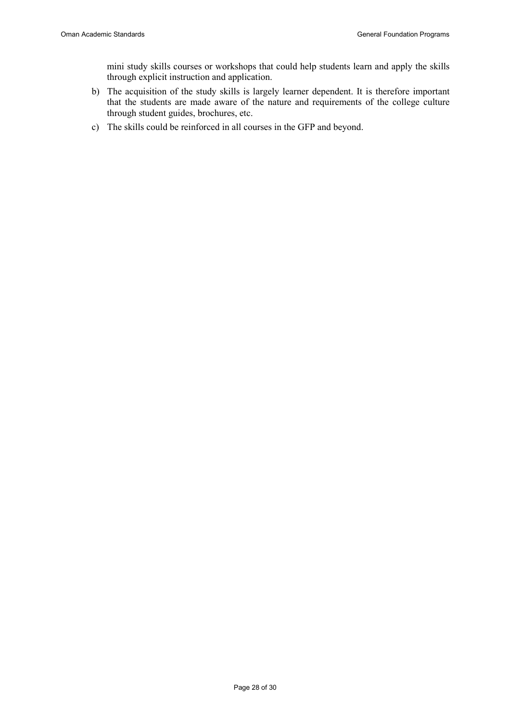mini study skills courses or workshops that could help students learn and apply the skills through explicit instruction and application.

- b) The acquisition of the study skills is largely learner dependent. It is therefore important that the students are made aware of the nature and requirements of the college culture through student guides, brochures, etc.
- c) The skills could be reinforced in all courses in the GFP and beyond.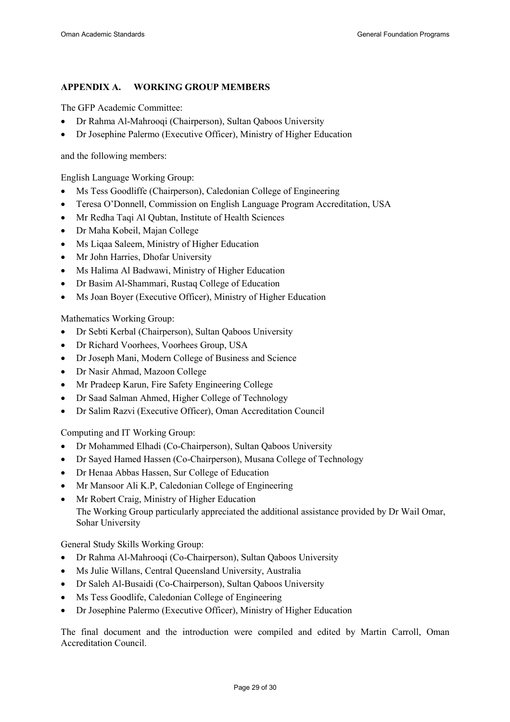# APPENDIX A. WORKING GROUP MEMBERS

The GFP Academic Committee:

- Dr Rahma Al-Mahrooqi (Chairperson), Sultan Qaboos University
- Dr Josephine Palermo (Executive Officer), Ministry of Higher Education

and the following members:

English Language Working Group:

- Ms Tess Goodliffe (Chairperson), Caledonian College of Engineering
- Teresa O'Donnell, Commission on English Language Program Accreditation, USA
- Mr Redha Taqi Al Qubtan, Institute of Health Sciences
- Dr Maha Kobeil, Majan College
- Ms Liqaa Saleem, Ministry of Higher Education
- Mr John Harries, Dhofar University
- Ms Halima Al Badwawi, Ministry of Higher Education
- Dr Basim Al-Shammari, Rustaq College of Education
- Ms Joan Boyer (Executive Officer), Ministry of Higher Education

Mathematics Working Group:

- Dr Sebti Kerbal (Chairperson), Sultan Qaboos University
- Dr Richard Voorhees, Voorhees Group, USA
- Dr Joseph Mani, Modern College of Business and Science
- Dr Nasir Ahmad, Mazoon College
- Mr Pradeep Karun, Fire Safety Engineering College
- Dr Saad Salman Ahmed, Higher College of Technology
- Dr Salim Razvi (Executive Officer), Oman Accreditation Council

Computing and IT Working Group:

- Dr Mohammed Elhadi (Co-Chairperson), Sultan Qaboos University
- Dr Sayed Hamed Hassen (Co-Chairperson), Musana College of Technology
- Dr Henaa Abbas Hassen, Sur College of Education
- Mr Mansoor Ali K.P, Caledonian College of Engineering
- Mr Robert Craig, Ministry of Higher Education The Working Group particularly appreciated the additional assistance provided by Dr Wail Omar, Sohar University

General Study Skills Working Group:

- Dr Rahma Al-Mahrooqi (Co-Chairperson), Sultan Qaboos University
- Ms Julie Willans, Central Queensland University, Australia
- Dr Saleh Al-Busaidi (Co-Chairperson), Sultan Qaboos University
- Ms Tess Goodlife, Caledonian College of Engineering
- Dr Josephine Palermo (Executive Officer), Ministry of Higher Education

The final document and the introduction were compiled and edited by Martin Carroll, Oman Accreditation Council.